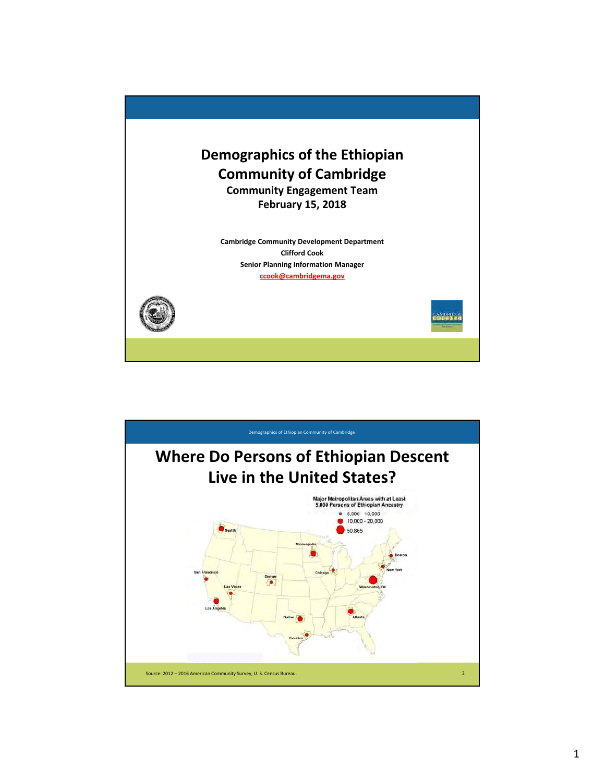

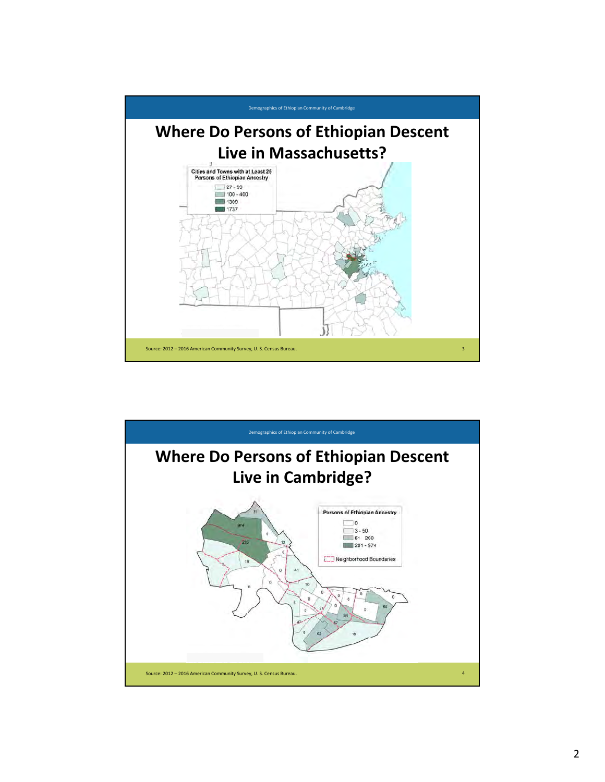

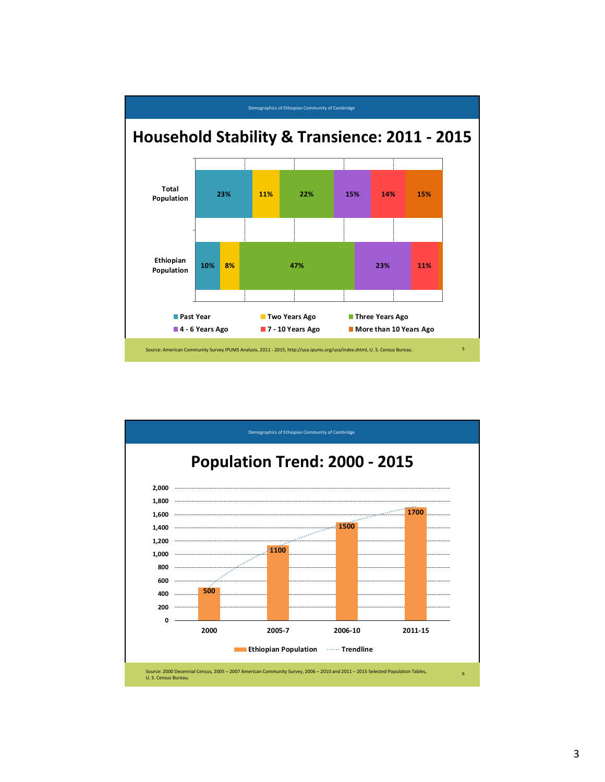

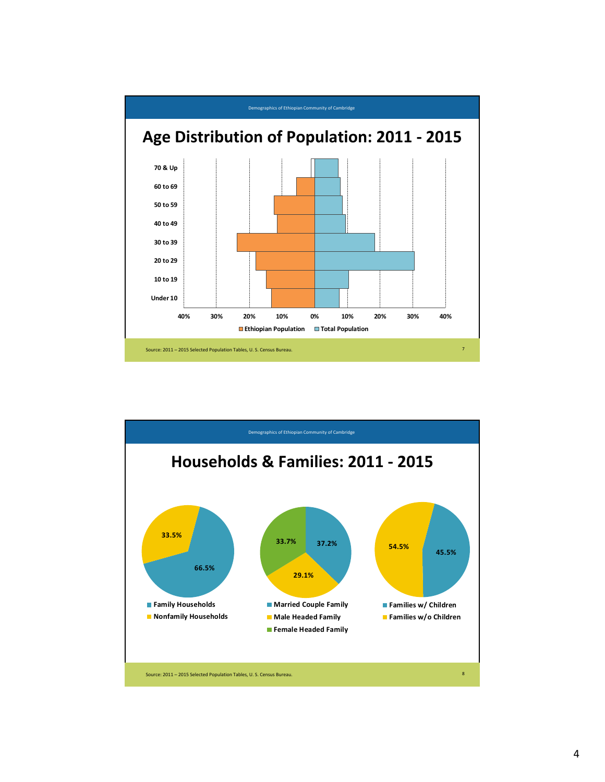

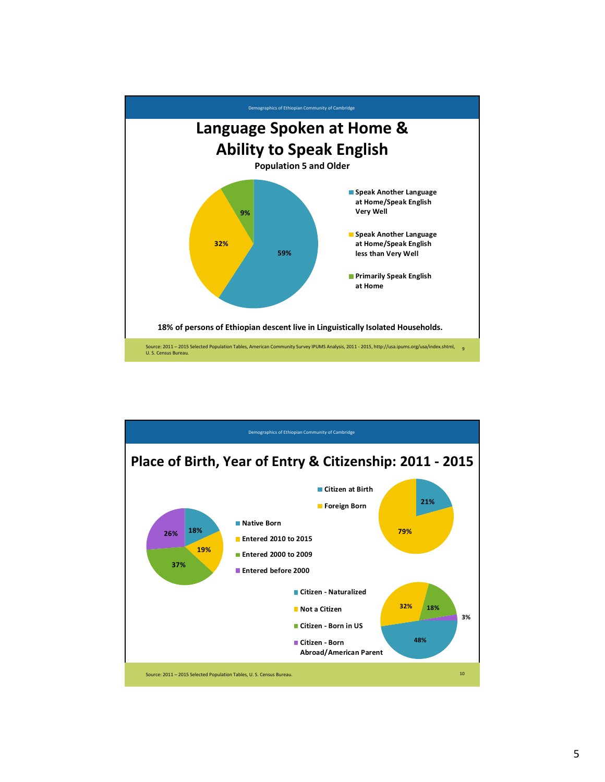

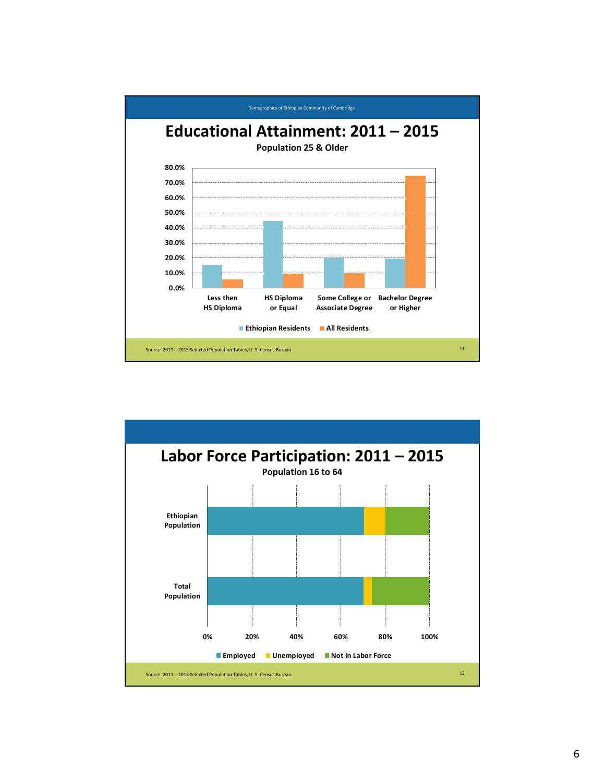

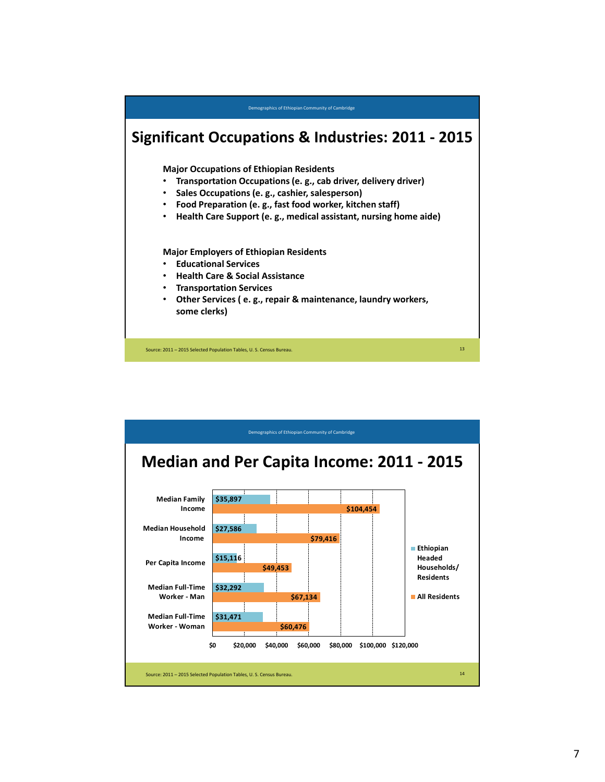